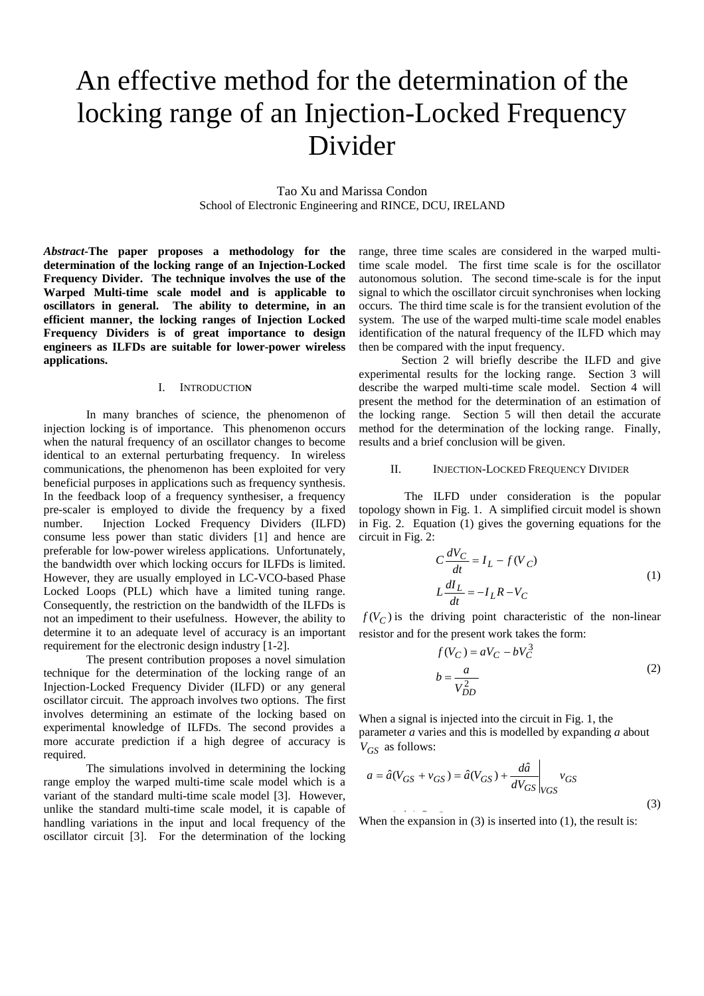# An effective method for the determination of the locking range of an Injection-Locked Frequency Divider

Tao Xu and Marissa Condon School of Electronic Engineering and RINCE, DCU, IRELAND

*Abstract***-The paper proposes a methodology for the determination of the locking range of an Injection-Locked Frequency Divider. The technique involves the use of the Warped Multi-time scale model and is applicable to oscillators in general. The ability to determine, in an efficient manner, the locking ranges of Injection Locked Frequency Dividers is of great importance to design engineers as ILFDs are suitable for lower-power wireless applications.** 

#### I. INTRODUCTIO**N**

In many branches of science, the phenomenon of injection locking is of importance. This phenomenon occurs when the natural frequency of an oscillator changes to become identical to an external perturbating frequency. In wireless communications, the phenomenon has been exploited for very beneficial purposes in applications such as frequency synthesis. In the feedback loop of a frequency synthesiser, a frequency pre-scaler is employed to divide the frequency by a fixed number. Injection Locked Frequency Dividers (ILFD) consume less power than static dividers [1] and hence are preferable for low-power wireless applications. Unfortunately, the bandwidth over which locking occurs for ILFDs is limited. However, they are usually employed in LC-VCO-based Phase Locked Loops (PLL) which have a limited tuning range. Consequently, the restriction on the bandwidth of the ILFDs is not an impediment to their usefulness. However, the ability to determine it to an adequate level of accuracy is an important requirement for the electronic design industry [1-2].

The present contribution proposes a novel simulation technique for the determination of the locking range of an Injection-Locked Frequency Divider (ILFD) or any general oscillator circuit. The approach involves two options. The first involves determining an estimate of the locking based on experimental knowledge of ILFDs. The second provides a more accurate prediction if a high degree of accuracy is required.

The simulations involved in determining the locking range employ the warped multi-time scale model which is a variant of the standard multi-time scale model [3]. However, unlike the standard multi-time scale model, it is capable of handling variations in the input and local frequency of the oscillator circuit [3]. For the determination of the locking

range, three time scales are considered in the warped multitime scale model. The first time scale is for the oscillator autonomous solution. The second time-scale is for the input signal to which the oscillator circuit synchronises when locking occurs. The third time scale is for the transient evolution of the system. The use of the warped multi-time scale model enables identification of the natural frequency of the ILFD which may then be compared with the input frequency.

Section 2 will briefly describe the ILFD and give experimental results for the locking range. Section 3 will describe the warped multi-time scale model. Section 4 will present the method for the determination of an estimation of the locking range. Section 5 will then detail the accurate method for the determination of the locking range. Finally, results and a brief conclusion will be given.

#### II. INJECTION-LOCKED FREQUENCY DIVIDER

The ILFD under consideration is the popular topology shown in Fig. 1. A simplified circuit model is shown in Fig. 2. Equation (1) gives the governing equations for the circuit in Fig. 2:

$$
C\frac{dV_C}{dt} = I_L - f(V_C)
$$
  
\n
$$
L\frac{dI_L}{dt} = -I_L R - V_C
$$
\n(1)

 $f(V_C)$  is the driving point characteristic of the non-linear resistor and for the present work takes the form:

$$
f(V_C) = aV_C - bV_C^3
$$
  

$$
b = \frac{a}{V_{DD}^2}
$$
 (2)

When a signal is injected into the circuit in Fig. 1, the parameter *a* varies and this is modelled by expanding *a* about *V<sub>GS</sub>* as follows:

$$
a = \hat{a}(V_{GS} + v_{GS}) = \hat{a}(V_{GS}) + \frac{d\hat{a}}{dV_{GS}}\bigg|_{VGS} v_{GS}
$$
\n(3)

When the expansion in (3) is inserted into (1), the result is: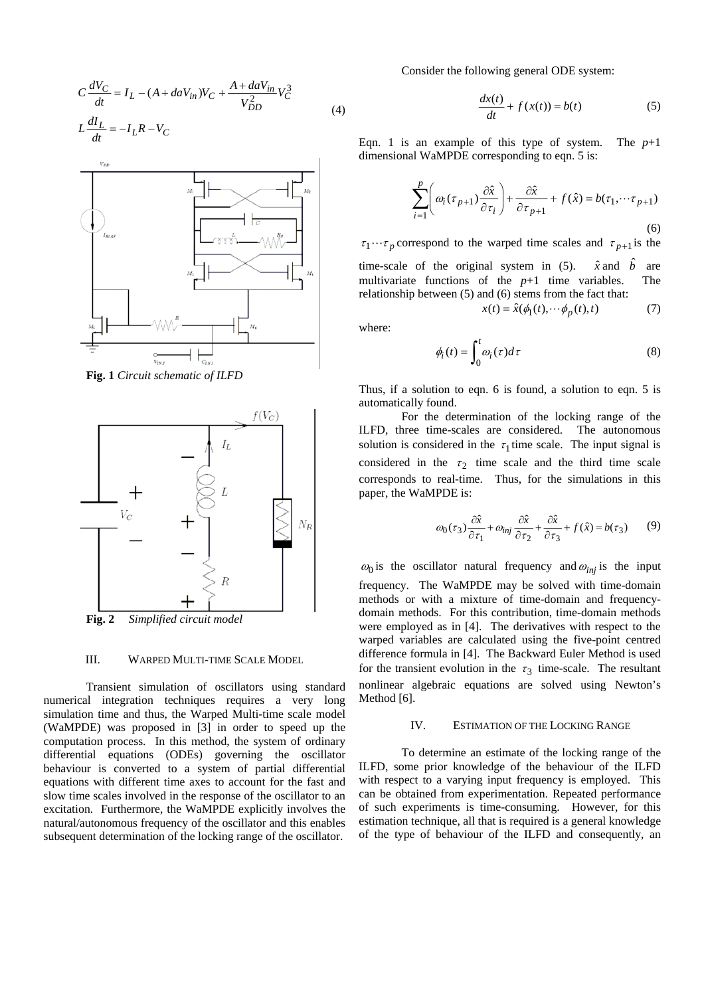$$
C\frac{dV_C}{dt} = I_L - (A + daV_{in})V_C + \frac{A + daV_{in}}{V_{DD}^2}V_C^3
$$
  

$$
L\frac{dI_L}{dt} = -I_L R - V_C
$$
 (4)



**Fig. 1** *Circuit schematic of ILFD* 



**Fig. 2** *Simplified circuit model* 

## III. WARPED MULTI-TIME SCALE MODEL

Transient simulation of oscillators using standard numerical integration techniques requires a very long simulation time and thus, the Warped Multi-time scale model (WaMPDE) was proposed in [3] in order to speed up the computation process. In this method, the system of ordinary differential equations (ODEs) governing the oscillator behaviour is converted to a system of partial differential equations with different time axes to account for the fast and slow time scales involved in the response of the oscillator to an excitation. Furthermore, the WaMPDE explicitly involves the natural/autonomous frequency of the oscillator and this enables subsequent determination of the locking range of the oscillator.

Consider the following general ODE system:

$$
\frac{dx(t)}{dt} + f(x(t)) = b(t)
$$
 (5)

Eqn. 1 is an example of this type of system. The  $p+1$ dimensional WaMPDE corresponding to eqn. 5 is:

$$
\sum_{i=1}^{p} \left( \omega_i(\tau_{p+1}) \frac{\partial \hat{x}}{\partial \tau_i} \right) + \frac{\partial \hat{x}}{\partial \tau_{p+1}} + f(\hat{x}) = b(\tau_1, \cdots \tau_{p+1})
$$
\n(6)

 $\tau_1 \cdots \tau_p$  correspond to the warped time scales and  $\tau_{p+1}$  is the

time-scale of the original system in  $(5)$ . multivariate functions of the  $p+1$  time variables. The relationship between (5) and (6) stems from the fact that:  $\hat{x}$  and  $\hat{b}$ 

$$
x(t) = \hat{x}(\phi_1(t), \cdots \phi_p(t), t)
$$
 (7)

where:

$$
\phi_i(t) = \int_0^t \omega_i(\tau) d\tau \tag{8}
$$

Thus, if a solution to eqn. 6 is found, a solution to eqn. 5 is automatically found.

For the determination of the locking range of the ILFD, three time-scales are considered. The autonomous solution is considered in the  $\tau_1$  time scale. The input signal is considered in the  $\tau_2$  time scale and the third time scale corresponds to real-time. Thus, for the simulations in this paper, the WaMPDE is:

$$
\omega_0(\tau_3) \frac{\partial \hat{x}}{\partial \tau_1} + \omega_{inj} \frac{\partial \hat{x}}{\partial \tau_2} + \frac{\partial \hat{x}}{\partial \tau_3} + f(\hat{x}) = b(\tau_3)
$$
(9)

 $\omega_0$  is the oscillator natural frequency and  $\omega_{inj}$  is the input frequency. The WaMPDE may be solved with time-domain methods or with a mixture of time-domain and frequencydomain methods. For this contribution, time-domain methods were employed as in [4]. The derivatives with respect to the warped variables are calculated using the five-point centred difference formula in [4]. The Backward Euler Method is used for the transient evolution in the  $\tau_3$  time-scale. The resultant nonlinear algebraic equations are solved using Newton's Method [6].

### IV. ESTIMATION OF THE LOCKING RANGE

To determine an estimate of the locking range of the ILFD, some prior knowledge of the behaviour of the ILFD with respect to a varying input frequency is employed. This can be obtained from experimentation. Repeated performance of such experiments is time-consuming. However, for this estimation technique, all that is required is a general knowledge of the type of behaviour of the ILFD and consequently, an